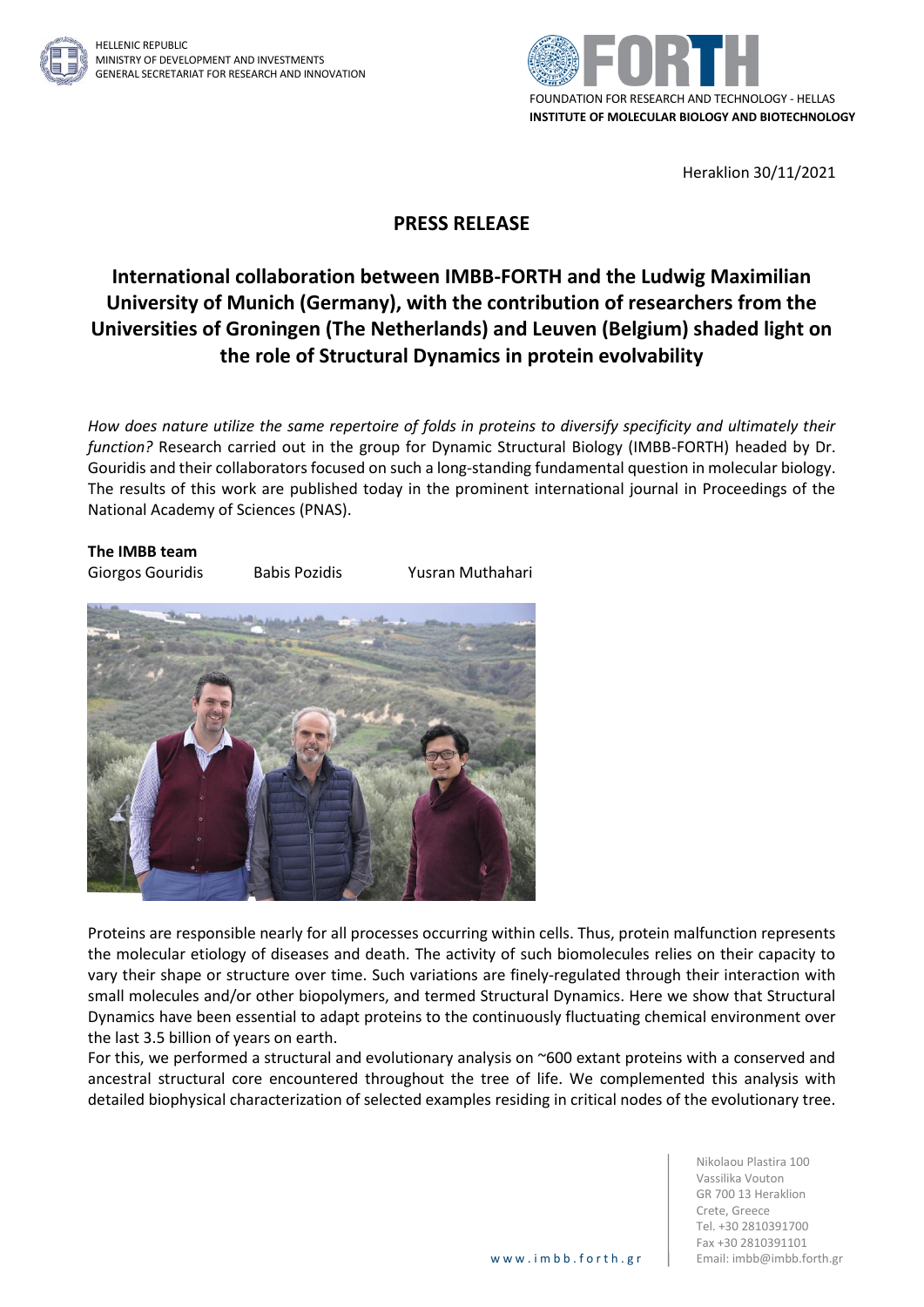



Heraklion 30/11/2021

## **PRESS RELEASE**

## **International collaboration between IMBB-FORTH and the Ludwig Maximilian University of Munich (Germany), with the contribution of researchers from the Universities of Groningen (The Netherlands) and Leuven (Belgium) shaded light on the role of Structural Dynamics in protein evolvability**

*How does nature utilize the same repertoire of folds in proteins to diversify specificity and ultimately their function?* Research carried out in the group for Dynamic Structural Biology (IMBB-FORTH) headed by Dr. Gouridis and their collaborators focused on such a long-standing fundamental question in molecular biology. The results of this work are published today in the prominent international journal in Proceedings of the National Academy of Sciences (PNAS).

## **The IMBB team**

Giorgos Gouridis Babis Pozidis Yusran Muthahari



Proteins are responsible nearly for all processes occurring within cells. Thus, protein malfunction represents the molecular etiology of diseases and death. The activity of such biomolecules relies on their capacity to vary their shape or structure over time. Such variations are finely-regulated through their interaction with small molecules and/or other biopolymers, and termed Structural Dynamics. Here we show that Structural Dynamics have been essential to adapt proteins to the continuously fluctuating chemical environment over the last 3.5 billion of years on earth.

For this, we performed a structural and evolutionary analysis on ~600 extant proteins with a conserved and ancestral structural core encountered throughout the tree of life. We complemented this analysis with detailed biophysical characterization of selected examples residing in critical nodes of the evolutionary tree.

> Nikolaou Plastira 100 Vassilika Vouton GR 700 13 Heraklion Crete, Greece Tel. +30 2810391700 Fax +30 2810391101 www.imbb.forth.gr | Email: imbb@imbb.forth.gr